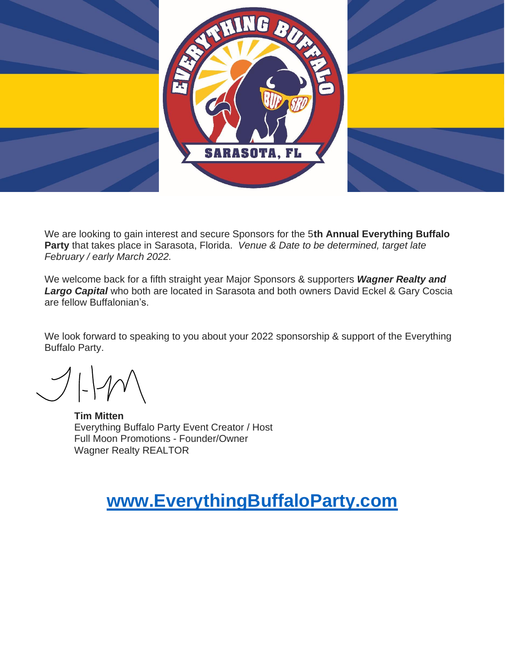

We are looking to gain interest and secure Sponsors for the 5**th Annual Everything Buffalo Party** that takes place in Sarasota, Florida. *Venue & Date to be determined, target late February / early March 2022.*

We welcome back for a fifth straight year Major Sponsors & supporters *Wagner Realty and Largo Capital* who both are located in Sarasota and both owners David Eckel & Gary Coscia are fellow Buffalonian's.

We look forward to speaking to you about your 2022 sponsorship & support of the Everything Buffalo Party.

**Tim Mitten** Everything Buffalo Party Event Creator / Host Full Moon Promotions - Founder/Owner Wagner Realty REALTOR

### **[www.EverythingBuffaloParty.com](http://www.everythingbuffaloparty.com/)**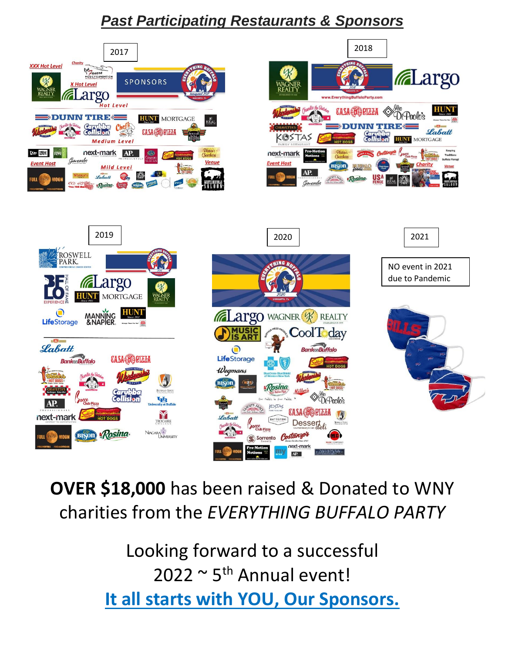### *Past Participating Restaurants & Sponsors*



# **OVER \$18,000** has been raised & Donated to WNY charities from the *EVERYTHING BUFFALO PARTY*

Looking forward to a successful  $2022 \sim 5$ <sup>th</sup> Annual event! **It all starts with YOU, Our Sponsors.**